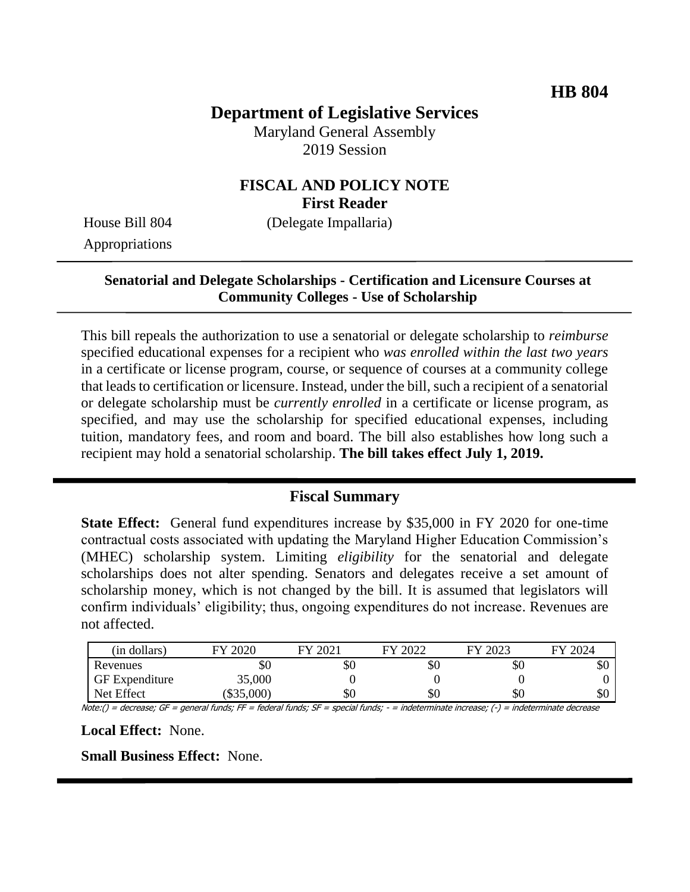# **Department of Legislative Services**

Maryland General Assembly 2019 Session

# **FISCAL AND POLICY NOTE First Reader**

Appropriations

House Bill 804 (Delegate Impallaria)

### **Senatorial and Delegate Scholarships - Certification and Licensure Courses at Community Colleges - Use of Scholarship**

This bill repeals the authorization to use a senatorial or delegate scholarship to *reimburse* specified educational expenses for a recipient who *was enrolled within the last two years* in a certificate or license program, course, or sequence of courses at a community college that leads to certification or licensure. Instead, under the bill, such a recipient of a senatorial or delegate scholarship must be *currently enrolled* in a certificate or license program, as specified, and may use the scholarship for specified educational expenses, including tuition, mandatory fees, and room and board. The bill also establishes how long such a recipient may hold a senatorial scholarship. **The bill takes effect July 1, 2019.**

# **Fiscal Summary**

**State Effect:** General fund expenditures increase by \$35,000 in FY 2020 for one-time contractual costs associated with updating the Maryland Higher Education Commission's (MHEC) scholarship system. Limiting *eligibility* for the senatorial and delegate scholarships does not alter spending. Senators and delegates receive a set amount of scholarship money, which is not changed by the bill. It is assumed that legislators will confirm individuals' eligibility; thus, ongoing expenditures do not increase. Revenues are not affected.

| (in dollars)          | 2020<br>FV | 2021<br>FV | $E$ V $\gamma$ 002 | <b>FY 2023</b> | FY 2024 |
|-----------------------|------------|------------|--------------------|----------------|---------|
| Revenues              | DЛ         | \$0        | \$0                | ъU             | \$0     |
| <b>GF</b> Expenditure | 35,000     |            |                    |                |         |
| Net Effect            | \$35,000   | \$0        | \$0                | \$0            | \$0     |

Note:() = decrease; GF = general funds; FF = federal funds; SF = special funds; - = indeterminate increase; (-) = indeterminate decrease

**Local Effect:** None.

**Small Business Effect:** None.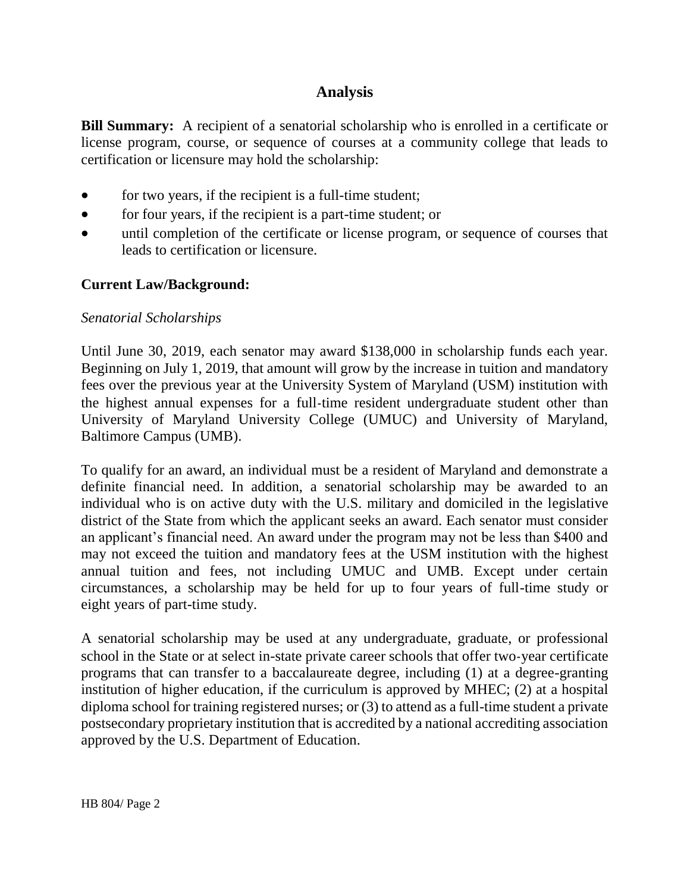# **Analysis**

**Bill Summary:** A recipient of a senatorial scholarship who is enrolled in a certificate or license program, course, or sequence of courses at a community college that leads to certification or licensure may hold the scholarship:

- for two years, if the recipient is a full-time student;
- for four years, if the recipient is a part-time student; or
- until completion of the certificate or license program, or sequence of courses that leads to certification or licensure.

### **Current Law/Background:**

#### *Senatorial Scholarships*

Until June 30, 2019, each senator may award \$138,000 in scholarship funds each year. Beginning on July 1, 2019, that amount will grow by the increase in tuition and mandatory fees over the previous year at the University System of Maryland (USM) institution with the highest annual expenses for a full-time resident undergraduate student other than University of Maryland University College (UMUC) and University of Maryland, Baltimore Campus (UMB).

To qualify for an award, an individual must be a resident of Maryland and demonstrate a definite financial need. In addition, a senatorial scholarship may be awarded to an individual who is on active duty with the U.S. military and domiciled in the legislative district of the State from which the applicant seeks an award. Each senator must consider an applicant's financial need. An award under the program may not be less than \$400 and may not exceed the tuition and mandatory fees at the USM institution with the highest annual tuition and fees, not including UMUC and UMB. Except under certain circumstances, a scholarship may be held for up to four years of full-time study or eight years of part-time study.

A senatorial scholarship may be used at any undergraduate, graduate, or professional school in the State or at select in-state private career schools that offer two-year certificate programs that can transfer to a baccalaureate degree, including (1) at a degree-granting institution of higher education, if the curriculum is approved by MHEC; (2) at a hospital diploma school for training registered nurses; or (3) to attend as a full-time student a private postsecondary proprietary institution that is accredited by a national accrediting association approved by the U.S. Department of Education.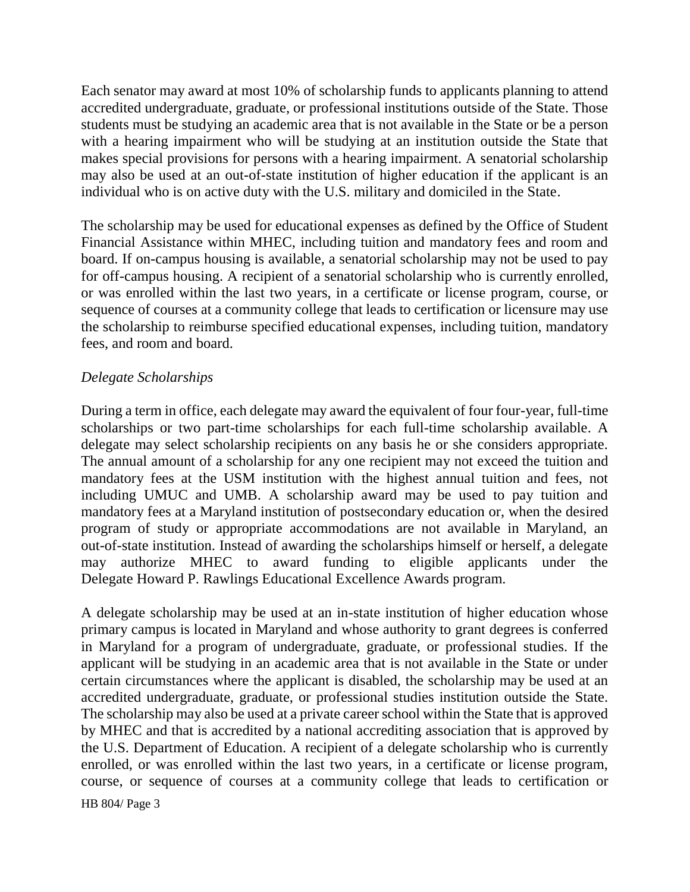Each senator may award at most 10% of scholarship funds to applicants planning to attend accredited undergraduate, graduate, or professional institutions outside of the State. Those students must be studying an academic area that is not available in the State or be a person with a hearing impairment who will be studying at an institution outside the State that makes special provisions for persons with a hearing impairment. A senatorial scholarship may also be used at an out-of-state institution of higher education if the applicant is an individual who is on active duty with the U.S. military and domiciled in the State.

The scholarship may be used for educational expenses as defined by the Office of Student Financial Assistance within MHEC, including tuition and mandatory fees and room and board. If on-campus housing is available, a senatorial scholarship may not be used to pay for off-campus housing. A recipient of a senatorial scholarship who is currently enrolled, or was enrolled within the last two years, in a certificate or license program, course, or sequence of courses at a community college that leads to certification or licensure may use the scholarship to reimburse specified educational expenses, including tuition, mandatory fees, and room and board.

### *Delegate Scholarships*

During a term in office, each delegate may award the equivalent of four four-year, full-time scholarships or two part-time scholarships for each full-time scholarship available. A delegate may select scholarship recipients on any basis he or she considers appropriate. The annual amount of a scholarship for any one recipient may not exceed the tuition and mandatory fees at the USM institution with the highest annual tuition and fees, not including UMUC and UMB. A scholarship award may be used to pay tuition and mandatory fees at a Maryland institution of postsecondary education or, when the desired program of study or appropriate accommodations are not available in Maryland, an out-of-state institution. Instead of awarding the scholarships himself or herself, a delegate may authorize MHEC to award funding to eligible applicants under the Delegate Howard P. Rawlings Educational Excellence Awards program.

A delegate scholarship may be used at an in-state institution of higher education whose primary campus is located in Maryland and whose authority to grant degrees is conferred in Maryland for a program of undergraduate, graduate, or professional studies. If the applicant will be studying in an academic area that is not available in the State or under certain circumstances where the applicant is disabled, the scholarship may be used at an accredited undergraduate, graduate, or professional studies institution outside the State. The scholarship may also be used at a private career school within the State that is approved by MHEC and that is accredited by a national accrediting association that is approved by the U.S. Department of Education. A recipient of a delegate scholarship who is currently enrolled, or was enrolled within the last two years, in a certificate or license program, course, or sequence of courses at a community college that leads to certification or

HB 804/ Page 3